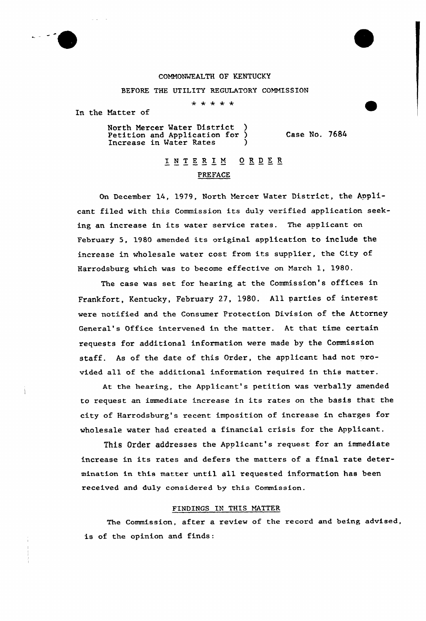

### COMMONWEALTH OF KENTUCKY

BEFORE THE UTILITY REGULATORY COMMISSION

\* \* \* \* \*

In the Natter of

North Mercer Water District ) Petition and Application for ) Increase in Water Rates

Case No. 7684

# TNT E RIM ORDER PREFACE

On December 14, 1979, North Mercer Mater District, the Applicant filed with this Commission its duly verified application seeking an increase in its water service rates. The applicant on February 5, 1980 amended its original application to include the increase in wholesale water cost from its supplier, the City of Harrodsburg which was to become effective on March 1, 1980.

The case was set for hearing, at the Commission's offices in Frankfort, Kentucky, February 27, 1980. All parties of interest were notified and the Consumer Protection Division of the Attorney General's Office intervened in the matter. At that time certain requests for additional information were made by the Commission staff. As of the date of this Order, the applicant had not provided all of the additional information required in this matter.

At the hearing, the Applicant's petition was verbally amended to request an immediate increase in its rates on the basis that the city of Harrodsburg's recent imposition of increase in charges for wholesale water had created a financial crisis for the Applicant.

This Order addresses the Applicant's request for an immediate increase in its rates and defers the matters of a final rate determination in this matter until all requested information has been received and duly considered by this Commission.

#### FINDINGS IN THIS MATTER

The Commission, after a review of the record and being advised, is of the opinion and finds: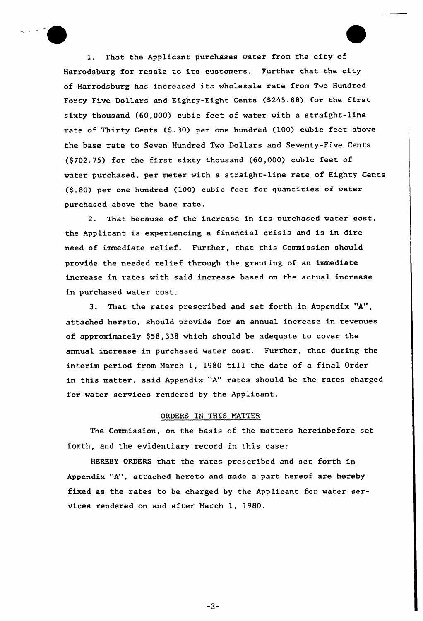1. That the Applicant purchases water from the city of Harrodsburg for resale to its customers. Further that the city of Harrodsburg has increased its wholesale rate from Two Hundred Forty Five Dollars and Eighty-Eight Cents (8245.88) for the first sixty thousand (60,000) cubic feet of water with a straight-line rate of Thirty Cents (\$.30) per one hundred (100) cubic feet above the base rate to Seven Hundred Two Dollars and Seventy-Five Cents (\$702.75) for the first sixty thousand (60,000) cubic feet of water purchased, per meter with a straight-line rate of Eighty Cents (\$ .80) per one hundred (100) cubic feet for quantities of water purchased above the base rate.

2. That because of the increase in its purchased water cost, the Applicant is experiencing a financial crisis and is in dire need of immediate relief. Further, that this Commission should provide the needed relief through the granting of an immediate increase in rates with said increase based on the actual increase in purchased water cost.

3. That the rates prescribed and set forth in Appendix "A", attached hereto, should provide for an annual increase in revenues of approximately \$58,338 which should be adequate to cover the annual increase in purchased water cost. Further, that during the interim period from March 1, <sup>1980</sup> till the date of <sup>a</sup> final Order in this matter, said Appendix "A" rates should be the rates charged for water services rendered by the Applicant.

#### ORDERS IN THIS MATTER

The Commission, on the basis of the matters hereinbefore set forth, and the evidentiary record in this case:

HEREBY ORDERS that the rates prescribed and set forth in Appendix "A", attached hereto and made a part hereof are hereby fixed as the rates to be charged by the Applicant for water services rendered on and after March 1, 1980.

 $-2-$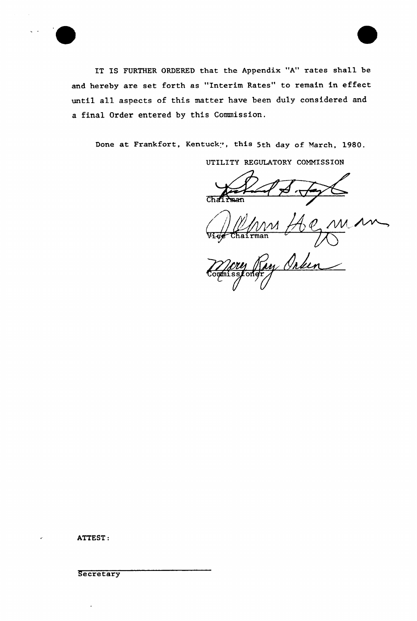

IT IS FURTHER ORDERED that the Appendix "A" rates shall be and hereby are set forth as "Interim Rates" to remain in effect until all aspects of this matter have been duly considered and a final Order entered by this Commission.

Done at Frankfort, Kentucky, this 5th day of March, 1980.

UTILITY REGULATORY COMMISSION

Chairman

emm

ay Orken

ATTEST:

**Secretary**